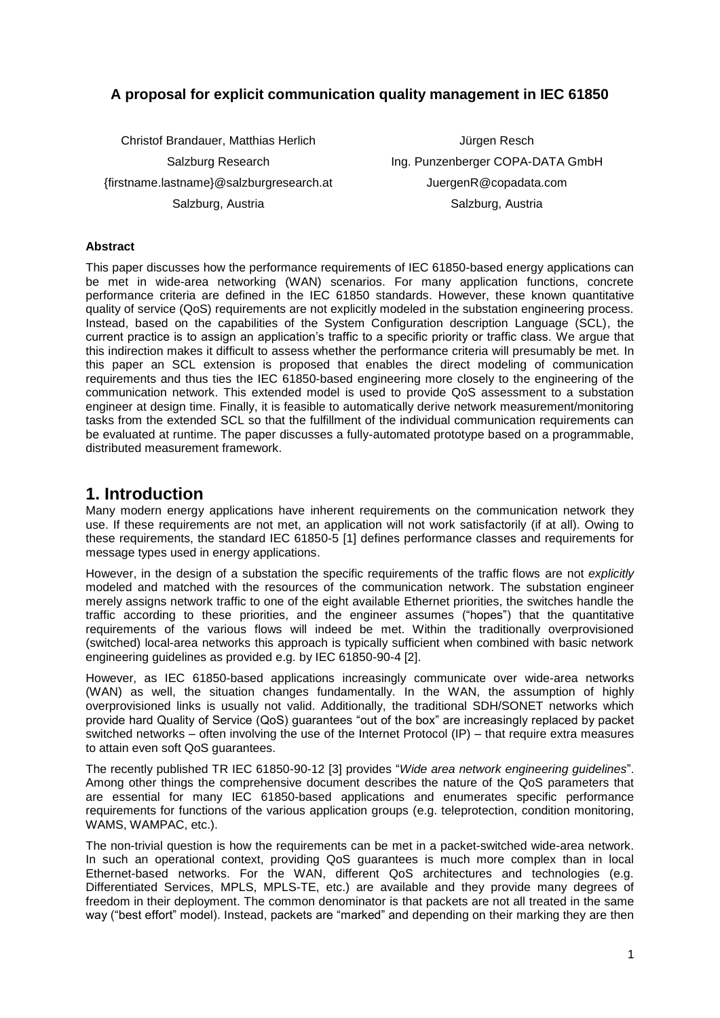### **A proposal for explicit communication quality management in IEC 61850**

Christof Brandauer, Matthias Herlich Salzburg Research {firstname.lastname}@salzburgresearch.at Salzburg, Austria

Jürgen Resch Ing. Punzenberger COPA-DATA GmbH JuergenR@copadata.com Salzburg, Austria

#### **Abstract**

This paper discusses how the performance requirements of IEC 61850-based energy applications can be met in wide-area networking (WAN) scenarios. For many application functions, concrete performance criteria are defined in the IEC 61850 standards. However, these known quantitative quality of service (QoS) requirements are not explicitly modeled in the substation engineering process. Instead, based on the capabilities of the System Configuration description Language (SCL), the current practice is to assign an application's traffic to a specific priority or traffic class. We argue that this indirection makes it difficult to assess whether the performance criteria will presumably be met. In this paper an SCL extension is proposed that enables the direct modeling of communication requirements and thus ties the IEC 61850-based engineering more closely to the engineering of the communication network. This extended model is used to provide QoS assessment to a substation engineer at design time. Finally, it is feasible to automatically derive network measurement/monitoring tasks from the extended SCL so that the fulfillment of the individual communication requirements can be evaluated at runtime. The paper discusses a fully-automated prototype based on a programmable, distributed measurement framework.

#### **1. Introduction**

Many modern energy applications have inherent requirements on the communication network they use. If these requirements are not met, an application will not work satisfactorily (if at all). Owing to these requirements, the standard IEC 61850-5 [1] defines performance classes and requirements for message types used in energy applications.

However, in the design of a substation the specific requirements of the traffic flows are not *explicitly* modeled and matched with the resources of the communication network. The substation engineer merely assigns network traffic to one of the eight available Ethernet priorities, the switches handle the traffic according to these priorities, and the engineer assumes ("hopes") that the quantitative requirements of the various flows will indeed be met. Within the traditionally overprovisioned (switched) local-area networks this approach is typically sufficient when combined with basic network engineering guidelines as provided e.g. by IEC 61850-90-4 [2].

However, as IEC 61850-based applications increasingly communicate over wide-area networks (WAN) as well, the situation changes fundamentally. In the WAN, the assumption of highly overprovisioned links is usually not valid. Additionally, the traditional SDH/SONET networks which provide hard Quality of Service (QoS) guarantees "out of the box" are increasingly replaced by packet switched networks – often involving the use of the Internet Protocol (IP) – that require extra measures to attain even soft QoS guarantees.

The recently published TR IEC 61850-90-12 [3] provides "*Wide area network engineering guidelines*". Among other things the comprehensive document describes the nature of the QoS parameters that are essential for many IEC 61850-based applications and enumerates specific performance requirements for functions of the various application groups (e.g. teleprotection, condition monitoring, WAMS, WAMPAC, etc.).

The non-trivial question is how the requirements can be met in a packet-switched wide-area network. In such an operational context, providing QoS guarantees is much more complex than in local Ethernet-based networks. For the WAN, different QoS architectures and technologies (e.g. Differentiated Services, MPLS, MPLS-TE, etc.) are available and they provide many degrees of freedom in their deployment. The common denominator is that packets are not all treated in the same way ("best effort" model). Instead, packets are "marked" and depending on their marking they are then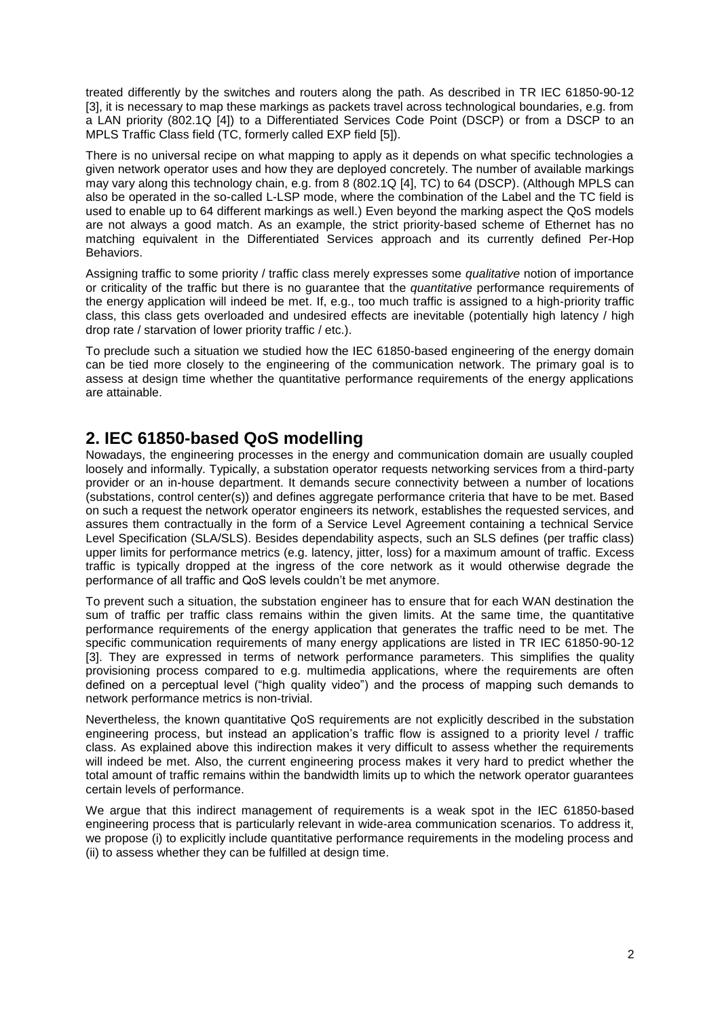treated differently by the switches and routers along the path. As described in TR IEC 61850-90-12 [3], it is necessary to map these markings as packets travel across technological boundaries, e.g. from a LAN priority (802.1Q [4]) to a Differentiated Services Code Point (DSCP) or from a DSCP to an MPLS Traffic Class field (TC, formerly called EXP field [5]).

There is no universal recipe on what mapping to apply as it depends on what specific technologies a given network operator uses and how they are deployed concretely. The number of available markings may vary along this technology chain, e.g. from 8 (802.1Q [4], TC) to 64 (DSCP). (Although MPLS can also be operated in the so-called L-LSP mode, where the combination of the Label and the TC field is used to enable up to 64 different markings as well.) Even beyond the marking aspect the QoS models are not always a good match. As an example, the strict priority-based scheme of Ethernet has no matching equivalent in the Differentiated Services approach and its currently defined Per-Hop Behaviors.

Assigning traffic to some priority / traffic class merely expresses some *qualitative* notion of importance or criticality of the traffic but there is no guarantee that the *quantitative* performance requirements of the energy application will indeed be met. If, e.g., too much traffic is assigned to a high-priority traffic class, this class gets overloaded and undesired effects are inevitable (potentially high latency / high drop rate / starvation of lower priority traffic / etc.).

To preclude such a situation we studied how the IEC 61850-based engineering of the energy domain can be tied more closely to the engineering of the communication network. The primary goal is to assess at design time whether the quantitative performance requirements of the energy applications are attainable.

# **2. IEC 61850-based QoS modelling**

Nowadays, the engineering processes in the energy and communication domain are usually coupled loosely and informally. Typically, a substation operator requests networking services from a third-party provider or an in-house department. It demands secure connectivity between a number of locations (substations, control center(s)) and defines aggregate performance criteria that have to be met. Based on such a request the network operator engineers its network, establishes the requested services, and assures them contractually in the form of a Service Level Agreement containing a technical Service Level Specification (SLA/SLS). Besides dependability aspects, such an SLS defines (per traffic class) upper limits for performance metrics (e.g. latency, jitter, loss) for a maximum amount of traffic. Excess traffic is typically dropped at the ingress of the core network as it would otherwise degrade the performance of all traffic and QoS levels couldn't be met anymore.

To prevent such a situation, the substation engineer has to ensure that for each WAN destination the sum of traffic per traffic class remains within the given limits. At the same time, the quantitative performance requirements of the energy application that generates the traffic need to be met. The specific communication requirements of many energy applications are listed in TR IEC 61850-90-12 [3]. They are expressed in terms of network performance parameters. This simplifies the quality provisioning process compared to e.g. multimedia applications, where the requirements are often defined on a perceptual level ("high quality video") and the process of mapping such demands to network performance metrics is non-trivial.

Nevertheless, the known quantitative QoS requirements are not explicitly described in the substation engineering process, but instead an application's traffic flow is assigned to a priority level / traffic class. As explained above this indirection makes it very difficult to assess whether the requirements will indeed be met. Also, the current engineering process makes it very hard to predict whether the total amount of traffic remains within the bandwidth limits up to which the network operator guarantees certain levels of performance.

We argue that this indirect management of requirements is a weak spot in the IEC 61850-based engineering process that is particularly relevant in wide-area communication scenarios. To address it, we propose (i) to explicitly include quantitative performance requirements in the modeling process and (ii) to assess whether they can be fulfilled at design time.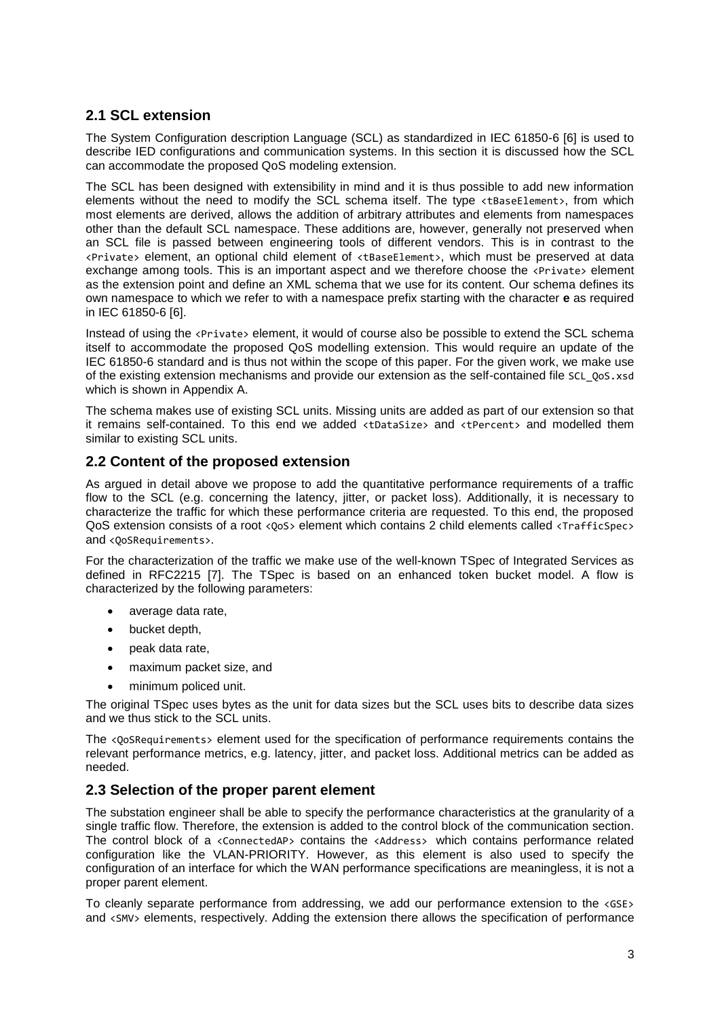#### **2.1 SCL extension**

The System Configuration description Language (SCL) as standardized in IEC 61850-6 [6] is used to describe IED configurations and communication systems. In this section it is discussed how the SCL can accommodate the proposed QoS modeling extension.

The SCL has been designed with extensibility in mind and it is thus possible to add new information elements without the need to modify the SCL schema itself. The type <tBaseElement>, from which most elements are derived, allows the addition of arbitrary attributes and elements from namespaces other than the default SCL namespace. These additions are, however, generally not preserved when an SCL file is passed between engineering tools of different vendors. This is in contrast to the <Private> element, an optional child element of <tBaseElement>, which must be preserved at data exchange among tools. This is an important aspect and we therefore choose the <Private> element as the extension point and define an XML schema that we use for its content. Our schema defines its own namespace to which we refer to with a namespace prefix starting with the character **e** as required in IEC 61850-6 [6].

Instead of using the <Private> element, it would of course also be possible to extend the SCL schema itself to accommodate the proposed QoS modelling extension. This would require an update of the IEC 61850-6 standard and is thus not within the scope of this paper. For the given work, we make use of the existing extension mechanisms and provide our extension as the self-contained file SCL\_QoS.xsd which is shown in Appendix A.

The schema makes use of existing SCL units. Missing units are added as part of our extension so that it remains self-contained. To this end we added <tDataSize> and <tPercent> and modelled them similar to existing SCL units.

#### **2.2 Content of the proposed extension**

As argued in detail above we propose to add the quantitative performance requirements of a traffic flow to the SCL (e.g. concerning the latency, jitter, or packet loss). Additionally, it is necessary to characterize the traffic for which these performance criteria are requested. To this end, the proposed QoS extension consists of a root <0os> element which contains 2 child elements called <TrafficSpec> and <0oSRequirements>.

For the characterization of the traffic we make use of the well-known TSpec of Integrated Services as defined in RFC2215 [7]. The TSpec is based on an enhanced token bucket model. A flow is characterized by the following parameters:

- average data rate,
- bucket depth,
- peak data rate,
- maximum packet size, and
- minimum policed unit.

The original TSpec uses bytes as the unit for data sizes but the SCL uses bits to describe data sizes and we thus stick to the SCL units.

The <0o5Requirements> element used for the specification of performance requirements contains the relevant performance metrics, e.g. latency, jitter, and packet loss. Additional metrics can be added as needed.

#### **2.3 Selection of the proper parent element**

The substation engineer shall be able to specify the performance characteristics at the granularity of a single traffic flow. Therefore, the extension is added to the control block of the communication section. The control block of a <ConnectedAP> contains the <Address> which contains performance related configuration like the VLAN-PRIORITY. However, as this element is also used to specify the configuration of an interface for which the WAN performance specifications are meaningless, it is not a proper parent element.

To cleanly separate performance from addressing, we add our performance extension to the <GSE> and <SMV> elements, respectively. Adding the extension there allows the specification of performance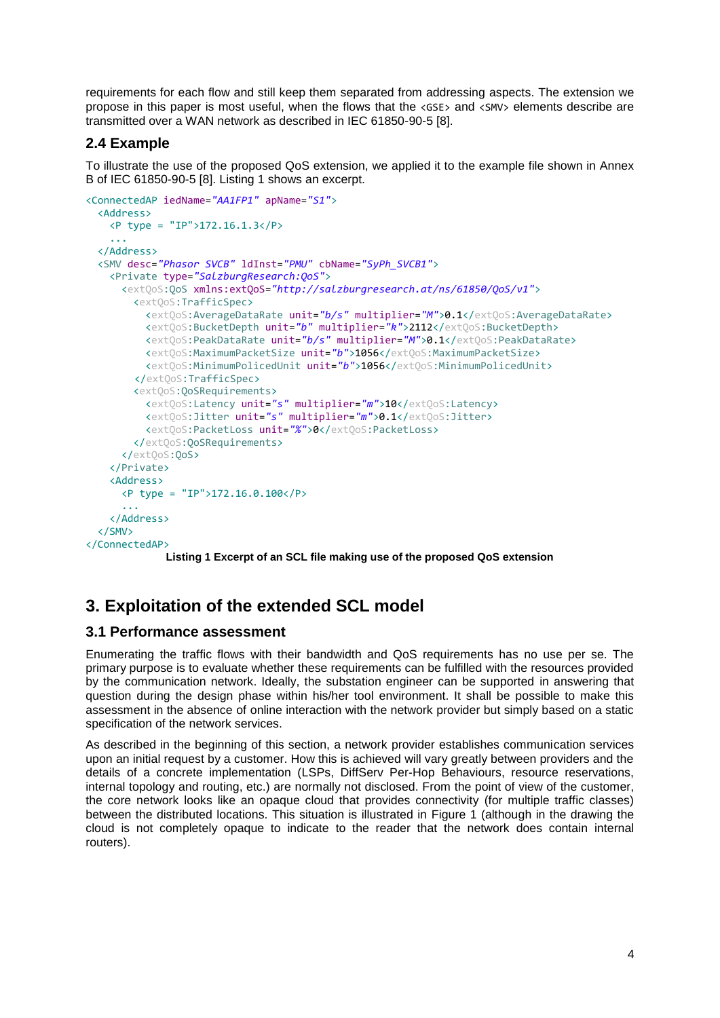requirements for each flow and still keep them separated from addressing aspects. The extension we propose in this paper is most useful, when the flows that the <GSE> and <SMV> elements describe are transmitted over a WAN network as described in IEC 61850-90-5 [8].

#### **2.4 Example**

To illustrate the use of the proposed QoS extension, we applied it to the example file shown in Annex B of IEC 61850-90-5 [8]. Listing 1 shows an excerpt.

```
<ConnectedAP iedName="AA1FP1" apName="S1">
   <Address>
    <P type = "IP">172.16.1.3</P>
     ...
   </Address>
   <SMV desc="Phasor SVCB" ldInst="PMU" cbName="SyPh_SVCB1">
    <Private type="SalzburgResearch:QoS">
       <extQoS:QoS xmlns:extQoS="http://salzburgresearch.at/ns/61850/QoS/v1">
         <extQoS:TrafficSpec>
           <extQoS:AverageDataRate unit="b/s" multiplier="M">0.1</extQoS:AverageDataRate>
           <extQoS:BucketDepth unit="b" multiplier="k">2112</extQoS:BucketDepth>
           <extQoS:PeakDataRate unit="b/s" multiplier="M">0.1</extQoS:PeakDataRate>
           <extQoS:MaximumPacketSize unit="b">1056</extQoS:MaximumPacketSize>
           <extQoS:MinimumPolicedUnit unit="b">1056</extQoS:MinimumPolicedUnit>
        </extQoS:TrafficSpec>
         <extQoS:QoSRequirements>
           <extQoS:Latency unit="s" multiplier="m">10</extQoS:Latency>
           <extQoS:Jitter unit="s" multiplier="m">0.1</extQoS:Jitter>
           <extQoS:PacketLoss unit="%">0</extQoS:PacketLoss>
         </extQoS:QoSRequirements>
       </extQoS:QoS>
     </Private>
    <Address>
       <P type = "IP">172.16.0.100</P>
       ...
     </Address>
   </SMV>
</ConnectedAP>
```
**Listing 1 Excerpt of an SCL file making use of the proposed QoS extension**

# **3. Exploitation of the extended SCL model**

#### **3.1 Performance assessment**

Enumerating the traffic flows with their bandwidth and QoS requirements has no use per se. The primary purpose is to evaluate whether these requirements can be fulfilled with the resources provided by the communication network. Ideally, the substation engineer can be supported in answering that question during the design phase within his/her tool environment. It shall be possible to make this assessment in the absence of online interaction with the network provider but simply based on a static specification of the network services.

As described in the beginning of this section, a network provider establishes communication services upon an initial request by a customer. How this is achieved will vary greatly between providers and the details of a concrete implementation (LSPs, DiffServ Per-Hop Behaviours, resource reservations, internal topology and routing, etc.) are normally not disclosed. From the point of view of the customer, the core network looks like an opaque cloud that provides connectivity (for multiple traffic classes) between the distributed locations. This situation is illustrated in [Figure 1](#page-4-0) (although in the drawing the cloud is not completely opaque to indicate to the reader that the network does contain internal routers).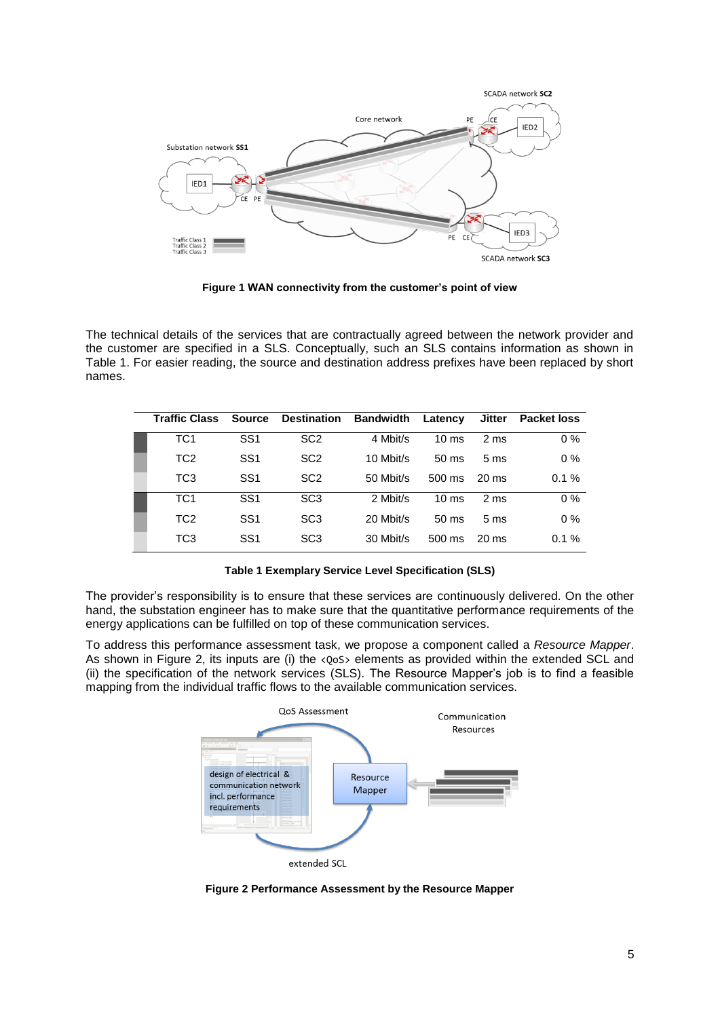

**Figure 1 WAN connectivity from the customer's point of view**

<span id="page-4-0"></span>The technical details of the services that are contractually agreed between the network provider and the customer are specified in a SLS. Conceptually, such an SLS contains information as shown in [Table 1.](#page-4-1) For easier reading, the source and destination address prefixes have been replaced by short names.

| <b>Traffic Class</b> | <b>Source</b>   | <b>Destination</b> | Bandwidth | Latency          | Jitter          | <b>Packet loss</b> |
|----------------------|-----------------|--------------------|-----------|------------------|-----------------|--------------------|
| TC <sub>1</sub>      | SS <sub>1</sub> | SC <sub>2</sub>    | 4 Mbit/s  | $10 \text{ ms}$  | 2 <sub>ms</sub> | $0\%$              |
| TC <sub>2</sub>      | SS <sub>1</sub> | SC <sub>2</sub>    | 10 Mbit/s | $50 \text{ ms}$  | 5 <sub>ms</sub> | $0\%$              |
| TC <sub>3</sub>      | SS <sub>1</sub> | SC <sub>2</sub>    | 50 Mbit/s | $500 \text{ ms}$ | $20 \text{ ms}$ | 0.1%               |
| TC <sub>1</sub>      | SS <sub>1</sub> | SC <sub>3</sub>    | 2 Mbit/s  | $10 \text{ ms}$  | 2 <sub>ms</sub> | $0\%$              |
| TC <sub>2</sub>      | SS <sub>1</sub> | SC <sub>3</sub>    | 20 Mbit/s | $50 \text{ ms}$  | 5 <sub>ms</sub> | $0\%$              |
| TC <sub>3</sub>      | SS <sub>1</sub> | SC <sub>3</sub>    | 30 Mbit/s | $500 \text{ ms}$ | $20 \text{ ms}$ | 0.1%               |

**Table 1 Exemplary Service Level Specification (SLS)**

<span id="page-4-1"></span>The provider's responsibility is to ensure that these services are continuously delivered. On the other hand, the substation engineer has to make sure that the quantitative performance requirements of the energy applications can be fulfilled on top of these communication services.

To address this performance assessment task, we propose a component called a *Resource Mapper*. As shown in [Figure 2,](#page-4-2) its inputs are (i) the <QoS> elements as provided within the extended SCL and (ii) the specification of the network services (SLS). The Resource Mapper's job is to find a feasible mapping from the individual traffic flows to the available communication services.



<span id="page-4-2"></span>**Figure 2 Performance Assessment by the Resource Mapper**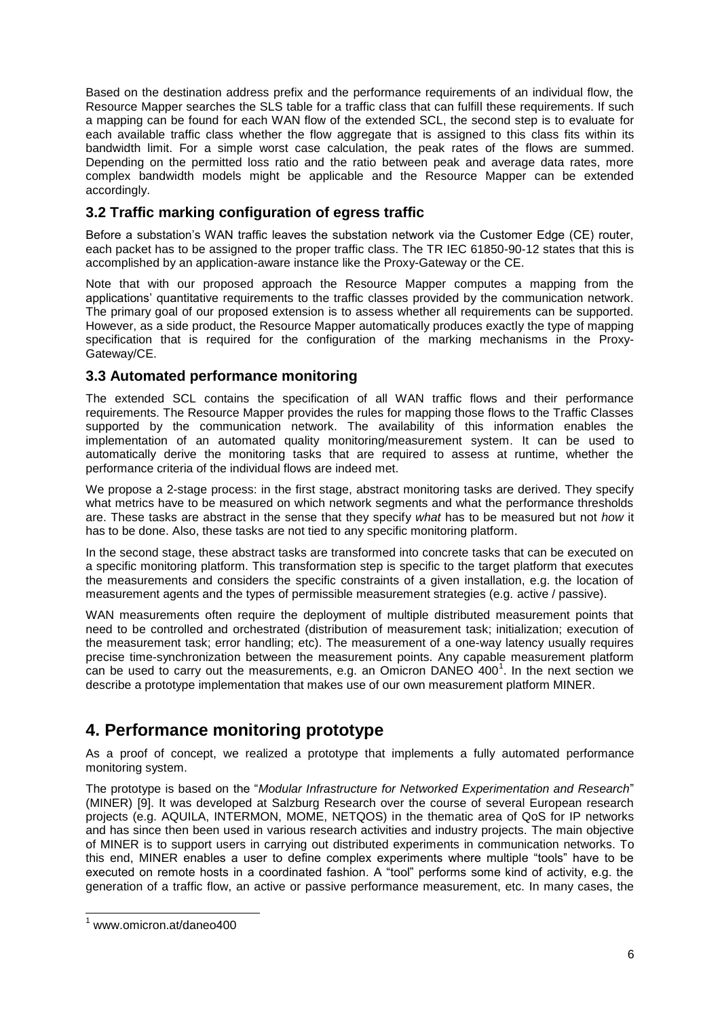Based on the destination address prefix and the performance requirements of an individual flow, the Resource Mapper searches the SLS table for a traffic class that can fulfill these requirements. If such a mapping can be found for each WAN flow of the extended SCL, the second step is to evaluate for each available traffic class whether the flow aggregate that is assigned to this class fits within its bandwidth limit. For a simple worst case calculation, the peak rates of the flows are summed. Depending on the permitted loss ratio and the ratio between peak and average data rates, more complex bandwidth models might be applicable and the Resource Mapper can be extended accordingly.

### **3.2 Traffic marking configuration of egress traffic**

Before a substation's WAN traffic leaves the substation network via the Customer Edge (CE) router, each packet has to be assigned to the proper traffic class. The TR IEC 61850-90-12 states that this is accomplished by an application-aware instance like the Proxy-Gateway or the CE.

Note that with our proposed approach the Resource Mapper computes a mapping from the applications' quantitative requirements to the traffic classes provided by the communication network. The primary goal of our proposed extension is to assess whether all requirements can be supported. However, as a side product, the Resource Mapper automatically produces exactly the type of mapping specification that is required for the configuration of the marking mechanisms in the Proxy-Gateway/CE.

#### **3.3 Automated performance monitoring**

The extended SCL contains the specification of all WAN traffic flows and their performance requirements. The Resource Mapper provides the rules for mapping those flows to the Traffic Classes supported by the communication network. The availability of this information enables the implementation of an automated quality monitoring/measurement system. It can be used to automatically derive the monitoring tasks that are required to assess at runtime, whether the performance criteria of the individual flows are indeed met.

We propose a 2-stage process: in the first stage, abstract monitoring tasks are derived. They specify what metrics have to be measured on which network segments and what the performance thresholds are. These tasks are abstract in the sense that they specify *what* has to be measured but not *how* it has to be done. Also, these tasks are not tied to any specific monitoring platform.

In the second stage, these abstract tasks are transformed into concrete tasks that can be executed on a specific monitoring platform. This transformation step is specific to the target platform that executes the measurements and considers the specific constraints of a given installation, e.g. the location of measurement agents and the types of permissible measurement strategies (e.g. active / passive).

WAN measurements often require the deployment of multiple distributed measurement points that need to be controlled and orchestrated (distribution of measurement task; initialization; execution of the measurement task; error handling; etc). The measurement of a one-way latency usually requires precise time-synchronization between the measurement points. Any capable measurement platform can be used to carry out the measurements, e.g. an Omicron DANEO 400<sup>1</sup>. In the next section we describe a prototype implementation that makes use of our own measurement platform MINER.

# **4. Performance monitoring prototype**

As a proof of concept, we realized a prototype that implements a fully automated performance monitoring system.

The prototype is based on the "*Modular Infrastructure for Networked Experimentation and Research*" (MINER) [9]. It was developed at Salzburg Research over the course of several European research projects (e.g. AQUILA, INTERMON, MOME, NETQOS) in the thematic area of QoS for IP networks and has since then been used in various research activities and industry projects. The main objective of MINER is to support users in carrying out distributed experiments in communication networks. To this end, MINER enables a user to define complex experiments where multiple "tools" have to be executed on remote hosts in a coordinated fashion. A "tool" performs some kind of activity, e.g. the generation of a traffic flow, an active or passive performance measurement, etc. In many cases, the

l

<sup>1</sup> www.omicron.at/daneo400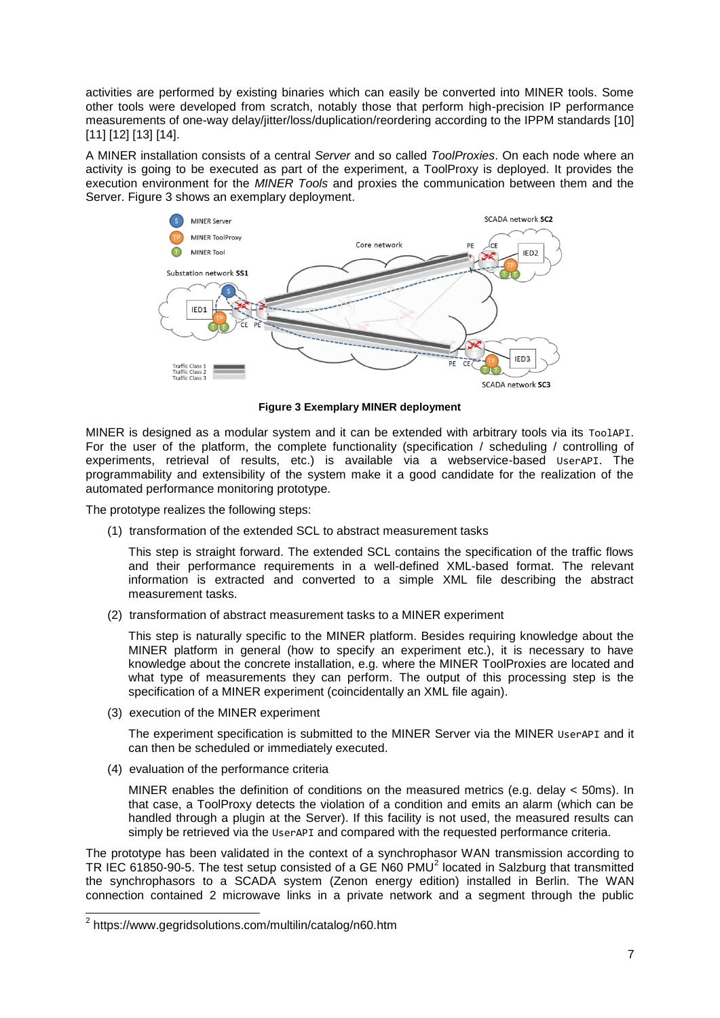activities are performed by existing binaries which can easily be converted into MINER tools. Some other tools were developed from scratch, notably those that perform high-precision IP performance measurements of one-way delay/jitter/loss/duplication/reordering according to the IPPM standards [10] [11] [12] [13] [14].

A MINER installation consists of a central *Server* and so called *ToolProxies*. On each node where an activity is going to be executed as part of the experiment, a ToolProxy is deployed. It provides the execution environment for the *MINER Tools* and proxies the communication between them and the Server. [Figure 3](#page-6-0) shows an exemplary deployment.



**Figure 3 Exemplary MINER deployment**

<span id="page-6-0"></span>MINER is designed as a modular system and it can be extended with arbitrary tools via its ToolAPI. For the user of the platform, the complete functionality (specification / scheduling / controlling of experiments, retrieval of results, etc.) is available via a webservice-based UserAPI. The programmability and extensibility of the system make it a good candidate for the realization of the automated performance monitoring prototype.

The prototype realizes the following steps:

(1) transformation of the extended SCL to abstract measurement tasks

This step is straight forward. The extended SCL contains the specification of the traffic flows and their performance requirements in a well-defined XML-based format. The relevant information is extracted and converted to a simple XML file describing the abstract measurement tasks.

(2) transformation of abstract measurement tasks to a MINER experiment

This step is naturally specific to the MINER platform. Besides requiring knowledge about the MINER platform in general (how to specify an experiment etc.), it is necessary to have knowledge about the concrete installation, e.g. where the MINER ToolProxies are located and what type of measurements they can perform. The output of this processing step is the specification of a MINER experiment (coincidentally an XML file again).

(3) execution of the MINER experiment

The experiment specification is submitted to the MINER Server via the MINER UserAPI and it can then be scheduled or immediately executed.

(4) evaluation of the performance criteria

MINER enables the definition of conditions on the measured metrics (e.g. delay < 50ms). In that case, a ToolProxy detects the violation of a condition and emits an alarm (which can be handled through a plugin at the Server). If this facility is not used, the measured results can simply be retrieved via the UserAPI and compared with the requested performance criteria.

The prototype has been validated in the context of a synchrophasor WAN transmission according to TR IEC 61850-90-5. The test setup consisted of a GE N60 PMU<sup>2</sup> located in Salzburg that transmitted the synchrophasors to a SCADA system (Zenon energy edition) installed in Berlin. The WAN connection contained 2 microwave links in a private network and a segment through the public

 2 https://www.gegridsolutions.com/multilin/catalog/n60.htm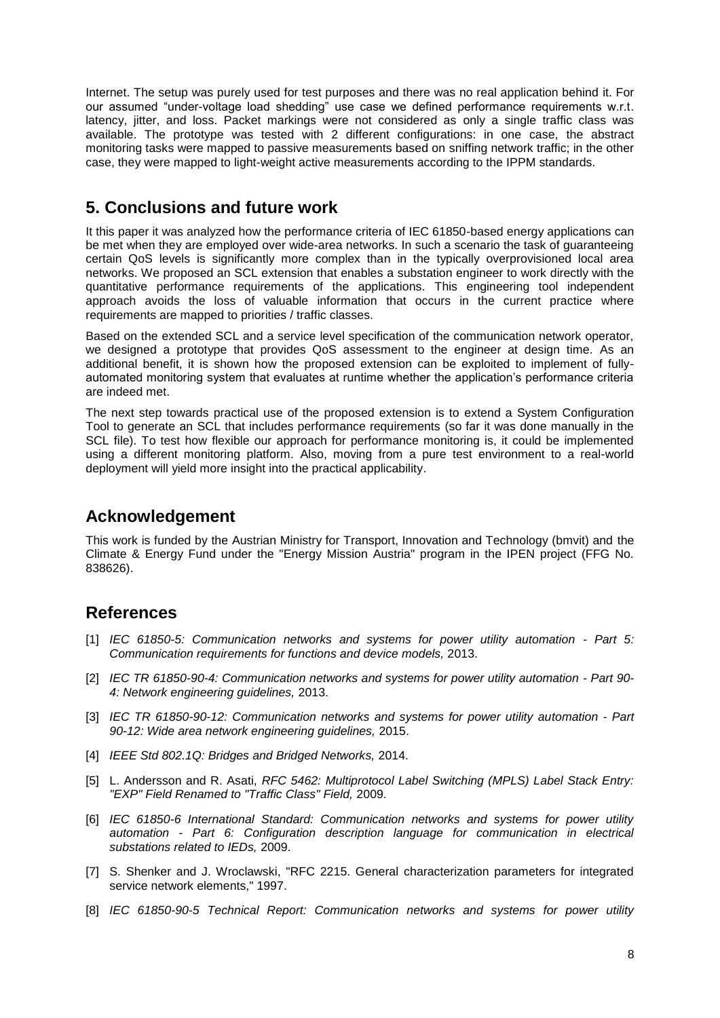Internet. The setup was purely used for test purposes and there was no real application behind it. For our assumed "under-voltage load shedding" use case we defined performance requirements w.r.t. latency, jitter, and loss. Packet markings were not considered as only a single traffic class was available. The prototype was tested with 2 different configurations: in one case, the abstract monitoring tasks were mapped to passive measurements based on sniffing network traffic; in the other case, they were mapped to light-weight active measurements according to the IPPM standards.

# **5. Conclusions and future work**

It this paper it was analyzed how the performance criteria of IEC 61850-based energy applications can be met when they are employed over wide-area networks. In such a scenario the task of guaranteeing certain QoS levels is significantly more complex than in the typically overprovisioned local area networks. We proposed an SCL extension that enables a substation engineer to work directly with the quantitative performance requirements of the applications. This engineering tool independent approach avoids the loss of valuable information that occurs in the current practice where requirements are mapped to priorities / traffic classes.

Based on the extended SCL and a service level specification of the communication network operator, we designed a prototype that provides QoS assessment to the engineer at design time. As an additional benefit, it is shown how the proposed extension can be exploited to implement of fullyautomated monitoring system that evaluates at runtime whether the application's performance criteria are indeed met.

The next step towards practical use of the proposed extension is to extend a System Configuration Tool to generate an SCL that includes performance requirements (so far it was done manually in the SCL file). To test how flexible our approach for performance monitoring is, it could be implemented using a different monitoring platform. Also, moving from a pure test environment to a real-world deployment will yield more insight into the practical applicability.

## **Acknowledgement**

This work is funded by the Austrian Ministry for Transport, Innovation and Technology (bmvit) and the Climate & Energy Fund under the "Energy Mission Austria" program in the IPEN project (FFG No. 838626).

## **References**

- [1] *IEC 61850-5: Communication networks and systems for power utility automation - Part 5: Communication requirements for functions and device models,* 2013.
- [2] *IEC TR 61850-90-4: Communication networks and systems for power utility automation - Part 90- 4: Network engineering guidelines,* 2013.
- [3] *IEC TR 61850-90-12: Communication networks and systems for power utility automation - Part 90-12: Wide area network engineering guidelines,* 2015.
- [4] *IEEE Std 802.1Q: Bridges and Bridged Networks,* 2014.
- [5] L. Andersson and R. Asati, *RFC 5462: Multiprotocol Label Switching (MPLS) Label Stack Entry: "EXP" Field Renamed to "Traffic Class" Field,* 2009.
- [6] *IEC 61850-6 International Standard: Communication networks and systems for power utility automation - Part 6: Configuration description language for communication in electrical substations related to IEDs,* 2009.
- [7] S. Shenker and J. Wroclawski, "RFC 2215. General characterization parameters for integrated service network elements," 1997.
- [8] *IEC 61850-90-5 Technical Report: Communication networks and systems for power utility*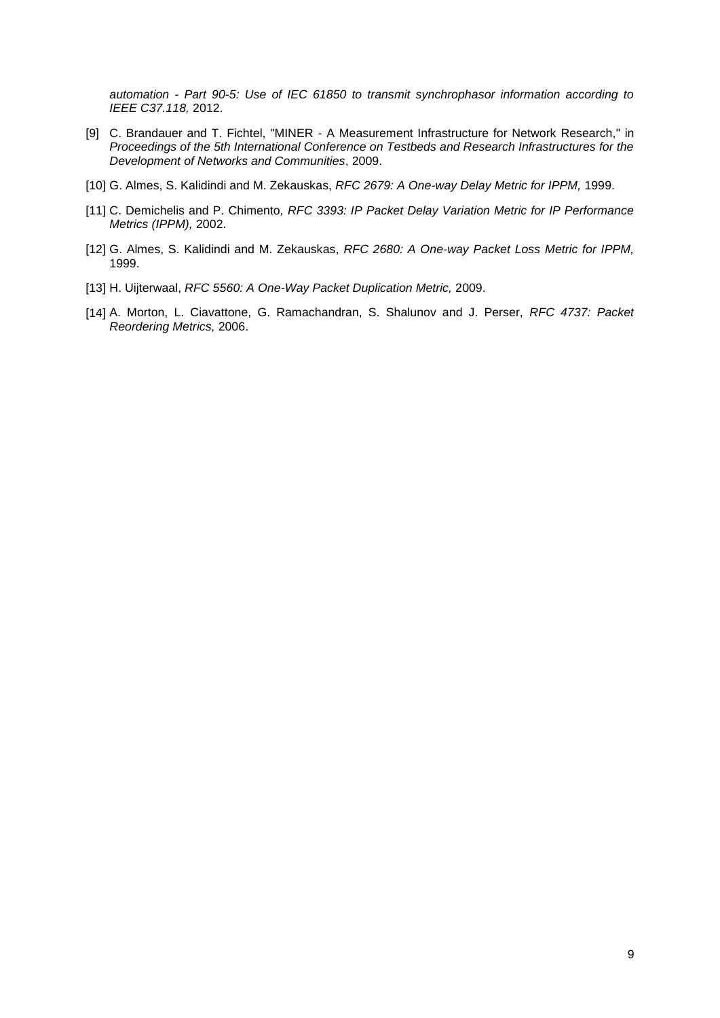*automation - Part 90-5: Use of IEC 61850 to transmit synchrophasor information according to IEEE C37.118,* 2012.

- [9] C. Brandauer and T. Fichtel, "MINER A Measurement Infrastructure for Network Research," in *Proceedings of the 5th International Conference on Testbeds and Research Infrastructures for the Development of Networks and Communities*, 2009.
- [10] G. Almes, S. Kalidindi and M. Zekauskas, *RFC 2679: A One-way Delay Metric for IPPM,* 1999.
- [11] C. Demichelis and P. Chimento, *RFC 3393: IP Packet Delay Variation Metric for IP Performance Metrics (IPPM),* 2002.
- [12] G. Almes, S. Kalidindi and M. Zekauskas, *RFC 2680: A One-way Packet Loss Metric for IPPM,*  1999.
- [13] H. Uijterwaal, *RFC 5560: A One-Way Packet Duplication Metric,* 2009.
- [14] A. Morton, L. Ciavattone, G. Ramachandran, S. Shalunov and J. Perser, *RFC 4737: Packet Reordering Metrics,* 2006.